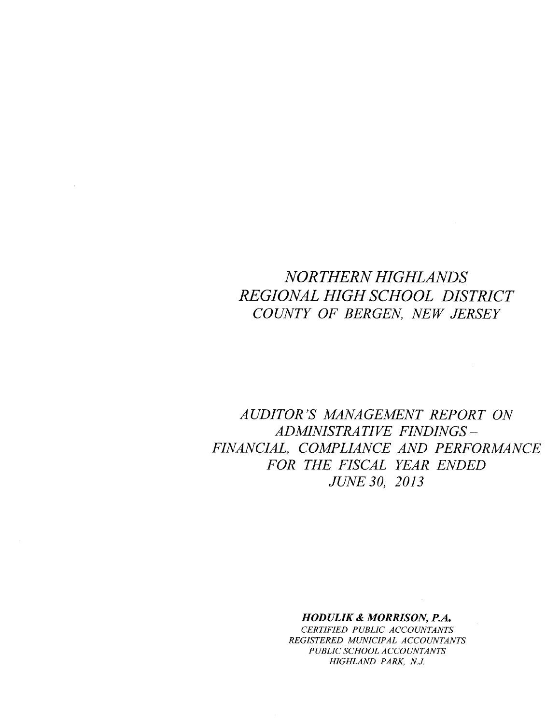# *NORTHERN HIGHLANDS REGIONAL HIGH SCHOOL DISTRICT COUNTY OF BERGEN, NEW JERSEY*

*AUDITOR'S MANAGEMENT REPORT ON ADMINISTRATIVE FINDINGS-FINANCIAL, COMPLIANCE AND PERFORMANCE FOR THE FISCAL YEAR ENDED JUNE 30, 2013*

## *HODULIK* & *MORRISON, P.A.*

*CERTIFIED PUBLIC ACCOUNTANTS REGISTERED MUNICIPAL ACCOUNTANTS PUBLIC SCHOOL ACCOUNTANTS HIGHLAND PARK, N.J.*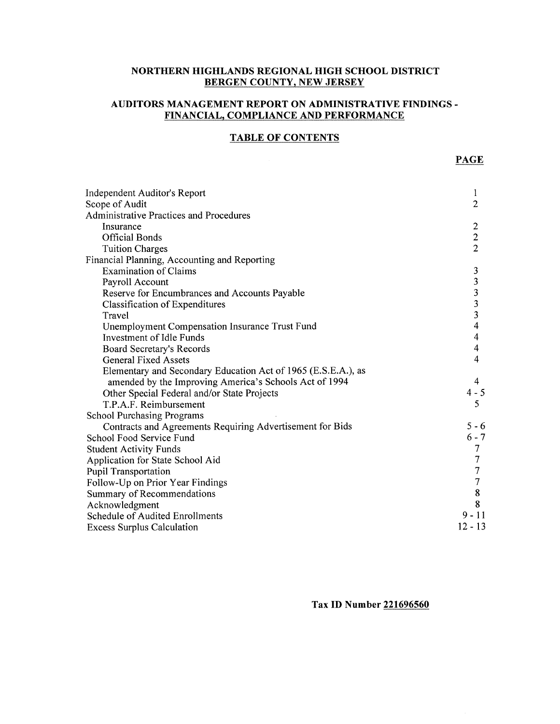## **NORTHERN HIGHLANDS REGIONAL HIGH SCHOOL DISTRICT BERGEN COUNTY, NEW JERSEY**

## **AUDITORS MANAGEMENT REPORT ON ADMINISTRATIVE FINDINGS-FINANCIAL, COMPLIANCE AND PERFORMANCE**

## **TABLE OF CONTENTS**

| Independent Auditor's Report                                  | 1                       |
|---------------------------------------------------------------|-------------------------|
| Scope of Audit                                                | $\overline{2}$          |
| <b>Administrative Practices and Procedures</b>                |                         |
| Insurance                                                     | $\overline{2}$          |
| <b>Official Bonds</b>                                         | $\boldsymbol{2}$        |
| <b>Tuition Charges</b>                                        | $\overline{2}$          |
| Financial Planning, Accounting and Reporting                  |                         |
| <b>Examination of Claims</b>                                  | 3                       |
| Payroll Account                                               |                         |
| Reserve for Encumbrances and Accounts Payable                 | $\frac{3}{3}$           |
| Classification of Expenditures                                | $\overline{\mathbf{3}}$ |
| Travel                                                        | $\overline{\mathbf{3}}$ |
| Unemployment Compensation Insurance Trust Fund                | $\overline{\mathbf{4}}$ |
| Investment of Idle Funds                                      | 4                       |
| Board Secretary's Records                                     | 4                       |
| <b>General Fixed Assets</b>                                   | 4                       |
| Elementary and Secondary Education Act of 1965 (E.S.E.A.), as |                         |
| amended by the Improving America's Schools Act of 1994        | 4                       |
| Other Special Federal and/or State Projects                   | $4 - 5$                 |
| T.P.A.F. Reimbursement                                        | 5                       |
| <b>School Purchasing Programs</b>                             |                         |
| Contracts and Agreements Requiring Advertisement for Bids     | $5 - 6$                 |
| School Food Service Fund                                      | $6 - 7$                 |
| <b>Student Activity Funds</b>                                 | 7                       |
| Application for State School Aid                              | 7                       |
| <b>Pupil Transportation</b>                                   | $\overline{7}$          |
| Follow-Up on Prior Year Findings                              | 7                       |
| Summary of Recommendations                                    | $\bf 8$                 |
| Acknowledgment                                                | 8                       |
| Schedule of Audited Enrollments                               | $9 - 11$                |
| <b>Excess Surplus Calculation</b>                             | $12 - 13$               |

**Tax ID Number 221696560**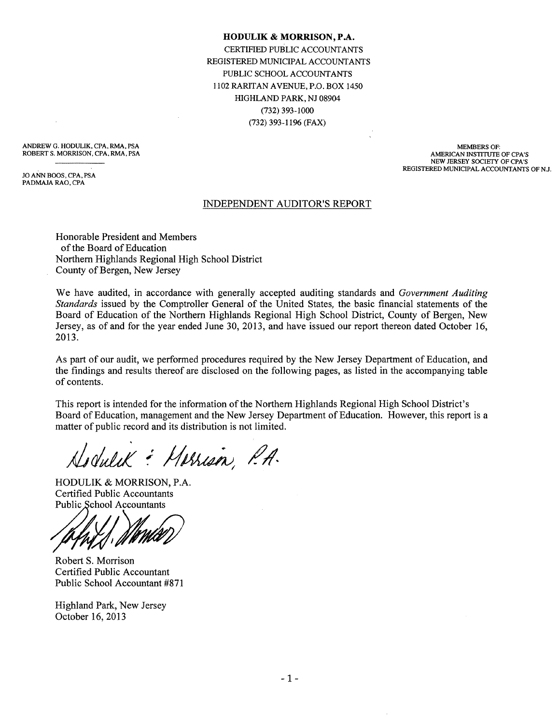#### **HODULIK & MORRISON, P .A.**

CERTIFIED PUBLIC ACCOUNTANTS REGISTERED MUNICIPAL ACCOUNTANTS PUBLIC SCHOOL ACCOUNTANTS 1102 RARITAN AVENUE, P.O. BOX 1450 HIGHLAND PARK, NJ 08904 (732) 393-1000 (732) 393-1196 (FAX)

ANDREW G. HODULIK, CPA, RMA, PSA ROBERT S. MORRISON, CPA, RMA, PSA

JOANN BOOS,CPA,PSA PADMAJA RAO, CPA

MEMBERS OF: AMERICAN INSTITUTE OF CPA'S NEW JERSEY SOCIETY OF CPA'S REGISTERED MUNICIPAL ACCOUNTANTS OF NJ.

#### INDEPENDENT AUDITOR'S REPORT

Honorable President and Members of the Board of Education Northern Highlands Regional High School District County of Bergen, New Jersey

We have audited, in accordance with generally accepted auditing standards and *Government Auditing Standards* issued by the Comptroller General of the United States, the basic financial statements of the Board of Education of the Northern Highlands Regional High School District, County of Bergen, New Jersey, as of and for the year ended June 30, 2013, and have issued our report thereon dated October 16, 2013.

As part of our audit, we performed procedures required by the New Jersey Department of Education, and the findings and results thereof are disclosed on the following pages, as listed in the accompanying table of contents.

This report is intended for the information of the Northern Highlands Regional High School District's Board of Education, management and the New Jersey Department of Education. However, this report is a matter of public record and its distribution is not limited.

Hodulik : Marrison, P.A.

HODULIK & MORRISON, P.A. Certified Public Accountants Public School Accountants

*YI~*

Robert S. Morrison Certified Public Accountant Public School Accountant #871

Highland Park, New Jersey October 16, 2013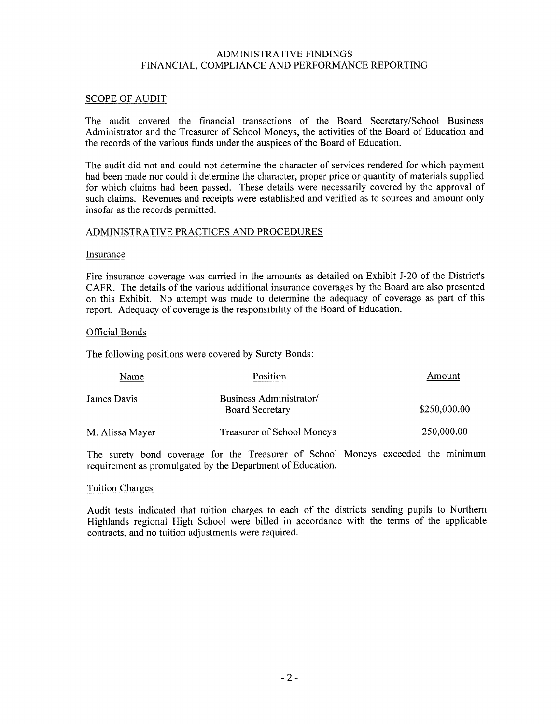## ADMINISTRATIVE FINDINGS FINANCIAL, COMPLIANCE AND PERFORMANCE REPORTING

## SCOPE OF AUDIT

The audit covered the financial transactions of the Board Secretary/School Business Administrator and the Treasurer of School Moneys, the activities of the Board of Education and the records of the various funds under the auspices of the Board of Education.

The audit did not and could not determine the character of services rendered for which payment had been made nor could it determine the character, proper price or quantity of materials supplied for which claims had been passed. These details were necessarily covered by the approval of such claims. Revenues and receipts were established and verified as to sources and amount only insofar as the records permitted.

## ADMINISTRATIVE PRACTICES AND PROCEDURES

#### Insurance

Fire insurance coverage was carried in the amounts as detailed on Exhibit J-20 of the District's CAFR. The details of the various additional insurance coverages by the Board are also presented on this Exhibit. No attempt was made to determine the adequacy of coverage as part of this report. Adequacy of coverage is the responsibility of the Board of Education.

#### Official Bonds

The following positions were covered by Surety Bonds:

| Name            | Position                                          | Amount       |
|-----------------|---------------------------------------------------|--------------|
| James Davis     | Business Administrator/<br><b>Board Secretary</b> | \$250,000.00 |
| M. Alissa Mayer | Treasurer of School Moneys                        | 250,000.00   |

The surety bond coverage for the Treasurer of School Moneys exceeded the minimum requirement as promulgated by the Department of Education.

#### Tuition Charges

Audit tests indicated that tuition charges to each of the districts sending pupils to Northern Highlands regional High School were billed in accordance with the terms of the applicable contracts, and no tuition adjustments were required.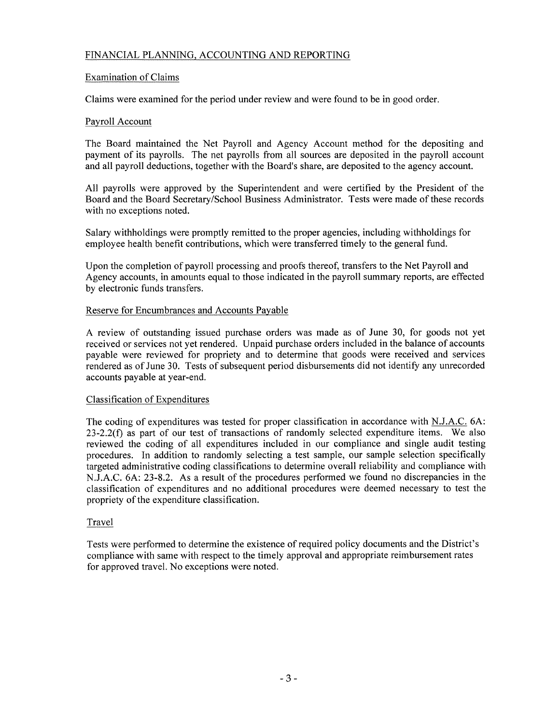## FINANCIAL PLANNING, ACCOUNTING AND REPORTING

## Examination of Claims

Claims were examined for the period under review and were found to be in good order.

## Payroll Account

The Board maintained the Net Payroll and Agency Account method for the depositing and payment of its payrolls. The net payrolls from all sources are deposited in the payroll account and all payroll deductions, together with the Board's share, are deposited to the agency account.

All payrolls were approved by the Superintendent and were certified by the President of the Board and the Board Secretary/School Business Administrator. Tests were made of these records with no exceptions noted.

Salary withholdings were promptly remitted to the proper agencies, including withholdings for employee health benefit contributions, which were transferred timely to the general fund.

Upon the completion of payroll processing and proofs thereof, transfers to the Net Payroll and Agency accounts, in amounts equal to those indicated in the payroll summary reports, are effected by electronic funds transfers.

## Reserve for Encumbrances and Accounts Payable

A review of outstanding issued purchase orders was made as of June 30, for goods not yet received or services not yet rendered. Unpaid purchase orders included in the balance of accounts payable were reviewed for propriety and to determine that goods were received and services rendered as of June 30. Tests of subsequent period disbursements did not identify any unrecorded accounts payable at year-end.

#### Classification of Expenditures

The coding of expenditures was tested for proper classification in accordance with N.J.A.C. 6A: 23-2.2(f) as part of our test of transactions of randomly selected expenditure items. We also reviewed the coding of all expenditures included in our compliance and single audit testing procedures. In addition to randomly selecting a test sample, our sample selection specifically targeted administrative coding classifications to determine overall reliability and compliance with NJ.A.C. 6A: 23-8.2. As a result of the procedures performed we found no discrepancies in the classification of expenditures and no additional procedures were deemed necessary to test the propriety of the expenditure classification.

## Travel

Tests were performed to determine the existence of required policy documents and the District's compliance with same with respect to the timely approval and appropriate reimbursement rates for approved travel. No exceptions were noted.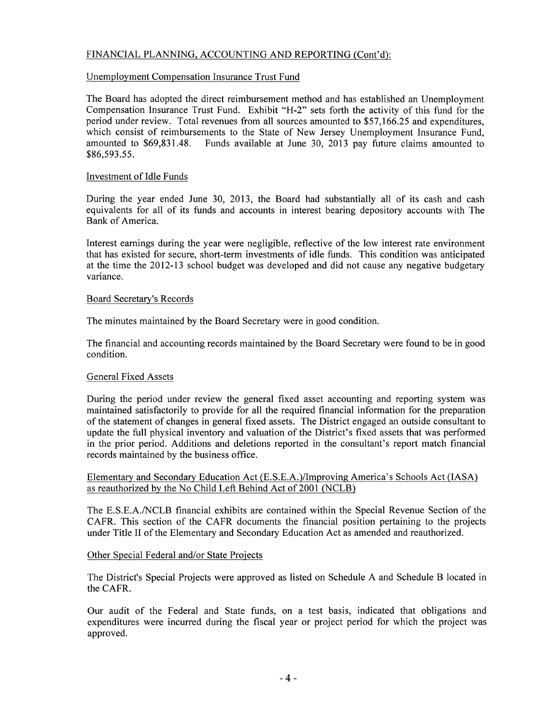## FINANCIAL PLANNING, ACCOUNTING AND REPORTING (Cont'd):

## Unemployment Compensation Insurance Trust Fund

The Board has adopted the direct reimbursement method and has established an Unemployment Compensation Insurance Trust Fund. Exhibit "H-2" sets forth the activity of this fund for the period under review. Total revenues from all sources amounted to \$57,166.25 and expenditures, which consist of reimbursements to the State of New Jersey Unemployment Insurance Fund, amounted to \$69,831.48. Funds available at June 30, 2013 pay future claims amounted to \$86,593.55.

## Investment of Idle Funds

During the year ended June 30, 2013, the Board had substantially all of its cash and cash equivalents for all of its funds and accounts in interest bearing depository accounts with The Bank of America.

Interest earnings during the year were negligible, reflective of the low interest rate environment that has existed for secure, short-term investments of idle funds. This condition was anticipated at the time the 2012-13 school budget was developed and did not cause any negative budgetary variance.

#### Board Secretary's Records

The minutes maintained by the Board Secretary were in good condition.

The financial and accounting records maintained by the Board Secretary were found to be in good condition.

## General Fixed Assets

During the period under review the general fixed asset accounting and reporting system was maintained satisfactorily to provide for all the required financial information for the preparation of the statement of changes in general fixed assets. The District engaged an outside consultant to update the full physical inventory and valuation of the District's fixed assets that was performed in the prior period. Additions and deletions reported in the consultant's report match financial records maintained by the business office.

Elementary and Secondary Education Act (E.S.E.A.)/Improving America's Schools Act (lASA) as reauthorized by the No Child Left Behind Act of 2001 (NCLB)

The E.S.E.A./NCLB financial exhibits are contained within the Special Revenue Section of the CAFR. This section of the CAFR documents the financial position pertaining to the projects under Title II of the Elementary and Secondary Education Act as amended and reauthorized.

## Other Special Federal and/or State Projects

The District's Special Projects were approved as listed on Schedule A and Schedule B located in the CAFR.

Our audit of the Federal and State funds, on a test basis, indicated that obligations and expenditures were incurred during the fiscal year or project period for which the project was approved.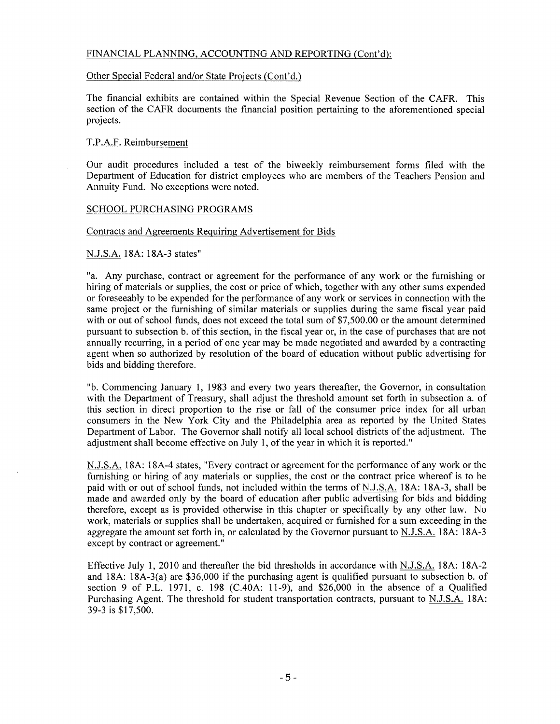## FINANCIAL PLANNING, ACCOUNTING AND REPORTING (Cont'd):

#### Other Special Federal and/or State Projects (Cont'd.)

The financial exhibits are contained within the Special Revenue Section of the CAFR. This section of the CAFR documents the financial position pertaining to the aforementioned special projects.

#### T.P.A.F. Reimbursement

Our audit procedures included a test of the biweekly reimbursement forms filed with the Department of Education for district employees who are members of the Teachers Pension and Annuity Fund. No exceptions were noted.

#### SCHOOL PURCHASING PROGRAMS

#### Contracts and Agreements Requiring Advertisement for Bids

#### N.J.S.A. 18A: 18A-3 states"

"a. Any purchase, contract or agreement for the performance of any work or the furnishing or hiring of materials or supplies, the cost or price of which, together with any other sums expended or foreseeably to be expended for the performance of any work or services in connection with the same project or the furnishing of similar materials or supplies during the same fiscal year paid with or out of school funds, does not exceed the total sum of \$7,500.00 or the amount determined pursuant to subsection b. of this section, in the fiscal year or, in the case of purchases that are not annually recurring, in a period of one year may be made negotiated and awarded by a contracting agent when so authorized by resolution of the board of education without public advertising for bids and bidding therefore.

"b. Commencing January 1, 1983 and every two years thereafter, the Governor, in consultation with the Department of Treasury, shall adjust the threshold amount set forth in subsection a. of this section in direct proportion to the rise or fall of the consumer price index for all urban consumers in the New York City and the Philadelphia area as reported by the United States Department of Labor. The Governor shall notify all local school districts of the adjustment. The adjustment shall become effective on July 1, of the year in which it is reported."

N.J.S.A. 18A: 18A-4 states, "Every contract or agreement for the performance of any work or the furnishing or hiring of any materials or supplies, the cost or the contract price whereof is to be paid with or out of school funds, not included within the terms of N.J.S.A. 18A: 18A-3, shall be made and awarded only by the board of education after public advertising for bids and bidding therefore, except as is provided otherwise in this chapter or specifically by any other law. No work, materials or supplies shall be undertaken, acquired or furnished for a sum exceeding in the aggregate the amount set forth in, or calculated by the Governor pursuant to N.J.S.A. 18A: 18A-3 except by contract or agreement."

Effective July 1,2010 and thereafter the bid thresholds in accordance with N.J.S.A. 18A: 18A-2 and 18A: 18A-3(a) are \$36,000 if the purchasing agent is qualified pursuant to subsection b. of section 9 of P.L. 1971, c. 198 (C.40A: 11-9), and \$26,000 in the absence of a Qualified Purchasing Agent. The threshold for student transportation contracts, pursuant to N.J.S.A. 18A: 39-3 is \$17,500.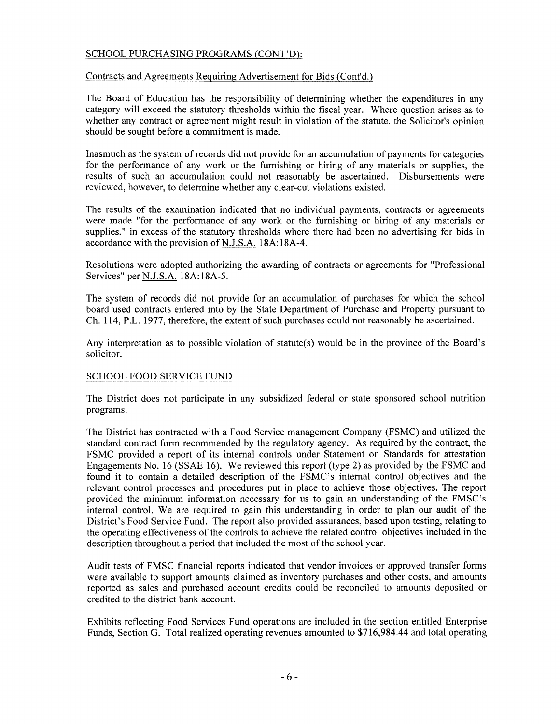## SCHOOL PURCHASING PROGRAMS (CONT'D):

#### Contracts and Agreements Requiring Advertisement for Bids (Cont'd.)

The Board of Education has the responsibility of determining whether the expenditures in any category will exceed the statutory thresholds within the fiscal year. Where question arises as to whether any contract or agreement might result in violation of the statute, the Solicitor's opinion should be sought before a commitment is made.

Inasmuch as the system of records did not provide for an accumulation of payments for categories for the performance of any work or the furnishing or hiring of any materials or supplies, the results of such an accumulation could not reasonably be ascertained. Disbursements were reviewed, however, to determine whether any clear-cut violations existed.

The results of the examination indicated that no individual payments, contracts or agreements were made "for the performance of any work or the furnishing or hiring of any materials or supplies," in excess of the statutory thresholds where there had been no advertising for bids in accordance with the provision of N.J.S.A. 18A:18A-4.

Resolutions were adopted authorizing the awarding of contracts or agreements for "Professional Services" per N.J.S.A. 18A:18A-5.

The system of records did not provide for an accumulation of purchases for which the school board used contracts entered into by the State Department of Purchase and Property pursuant to Ch. 114, P.L. 1977, therefore, the extent of such purchases could not reasonably be ascertained.

Any interpretation as to possible violation of statute(s) would be in the province of the Board's solicitor.

#### SCHOOL FOOD SERVICE FUND

The District does not participate in any subsidized federal or state sponsored school nutrition programs.

The District has contracted with a Food Service management Company (FSMC) and utilized the standard contract form recommended by the regulatory agency. As required by the contract, the FSMC provided a report of its internal controls under Statement on Standards for attestation Engagements No. 16 (SSAE 16). We reviewed this report (type 2) as provided by the FSMC and found it to contain a detailed description of the FSMC's internal control objectives and the relevant control processes and procedures put in place to achieve those objectives. The report provided the minimum information necessary for us to gain an understanding of the FMSC's internal control. We are required to gain this understanding in order to plan our audit of the District's Food Service Fund. The report also provided assurances, based upon testing, relating to the operating effectiveness of the controls to achieve the related control objectives included in the description throughout a period that included the most of the school year.

Audit tests of FMSC financial reports indicated that vendor invoices or approved transfer forms were available to support amounts claimed as inventory purchases and other costs, and amounts reported as sales and purchased account credits could be reconciled to amounts deposited or credited to the district bank account.

Exhibits reflecting Food Services Fund operations are included in the section entitled Enterprise Funds, Section G. Total realized operating revenues amounted to \$716,984.44 and total operating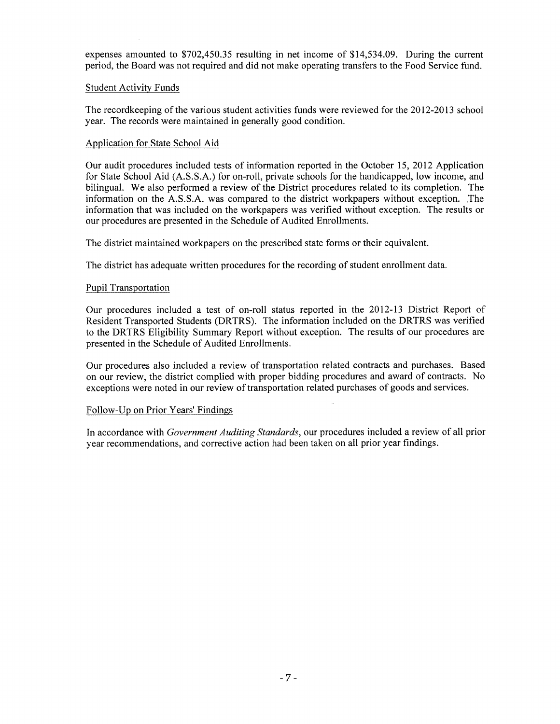expenses amounted to \$702,450.35 resulting in net income of \$14,534.09. During the current period, the Board was not required and did not make operating transfers to the Food Service fund.

### Student Activity Funds

The recordkeeping of the various student activities funds were reviewed for the 2012-2013 school year. The records were maintained in generally good condition.

## Application for State School Aid

Our audit procedures included tests of information reported in the October 15, 2012 Application for State School Aid (A.S.S.A.) for on-roll, private schools for the handicapped, low income, and bilingual. We also performed a review of the District procedures related to its completion. The information on the A.S.S.A. was compared to the district workpapers without exception. The information that was included on the workpapers was verified without exception. The results or our procedures are presented in the Schedule of Audited Enrollments.

The district maintained workpapers on the prescribed state forms or their equivalent.

The district has adequate written procedures for the recording of student enrollment data.

## Pupil Transportation

Our procedures included a test of on-roll status reported in the 2012-13 District Report of Resident Transported Students (DRTRS). The information included on the DRTRS was verified to the DRTRS Eligibility Summary Report without exception. The results of our procedures are presented in the Schedule of Audited Enrollments.

Our procedures also included a review of transportation related contracts and purchases. Based on our review, the district complied with proper bidding procedures and award of contracts. No exceptions were noted in our review of transportation related purchases of goods and services.

#### Follow-Up on Prior Years' Findings

In accordance with *Government Auditing Standards,* our procedures included a review of all prior year recommendations, and corrective action had been taken on all prior year findings.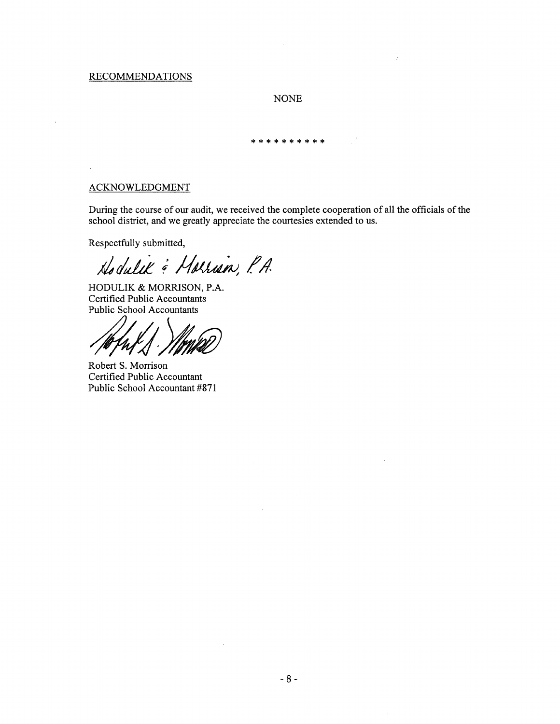### RECOMMENDATIONS

### NONE

 $\mathcal{L}$ 

\*\*\*\*\*\*\*\*\*\*

## ACKNOWLEDGMENT

During the course of our audit, we received the complete cooperation of all the officials of the school district, and we greatly appreciate the courtesies extended to us.

Respectfully submitted,

Hodulik & Horrison, P.A.

HODULIK & MORRISON, P.A. Certified Public Accountants Public School Accountants

*/J;J~*

Robert S. Morrison Certified Public Accountant Public School Accountant #871

 $\mathcal{L}$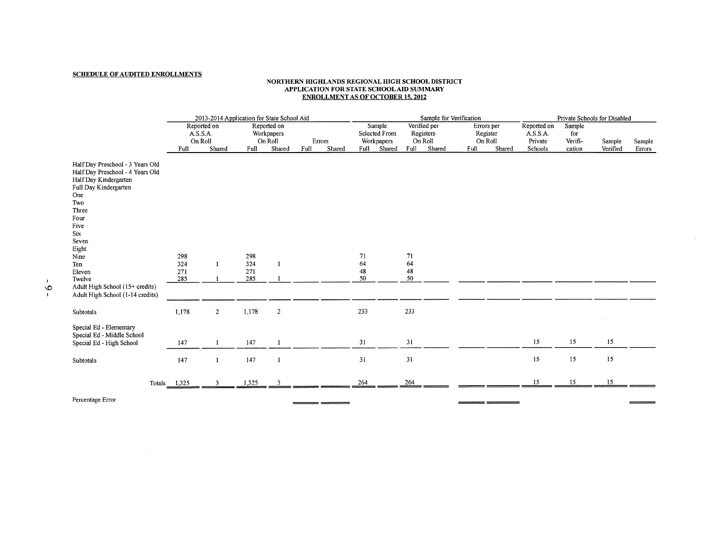#### **SCHEDULE OF AUDITED ENROLLMENTS**

#### **NORTHERN mGHLANDS REGIONAL mGH SCHOOL DISTRICT APPLICATION FOR STATE** SCHOOL AID **SUMMARY ENROLLMENT AS OF OCTOBER 15. 2012**

|                                                                                                                                                                                                                                                              | 2013-2014 Application for State School Aid |                |                          |                           |                | Sample for Verification |                            |                           |                      |                           | Private Schools for Disabled |                        |                         |                   |                    |                  |
|--------------------------------------------------------------------------------------------------------------------------------------------------------------------------------------------------------------------------------------------------------------|--------------------------------------------|----------------|--------------------------|---------------------------|----------------|-------------------------|----------------------------|---------------------------|----------------------|---------------------------|------------------------------|------------------------|-------------------------|-------------------|--------------------|------------------|
|                                                                                                                                                                                                                                                              | A.S.S.A.                                   | Reported on    |                          | Reported on<br>Workpapers |                |                         |                            | Sample<br>Selected From   |                      | Verified per<br>Registers |                              | Errors per<br>Register | Reported on<br>A.S.S.A. | Sample<br>for     |                    |                  |
|                                                                                                                                                                                                                                                              | On Roll<br>Full                            | Shared         | Full                     | On Roll<br>Shared         | Errors<br>Full | Shared                  |                            | Workpapers<br>Full Shared | Full                 | On Roll<br>Shared         | Full                         | On Roll<br>Shared      | Private<br>Schools      | Verifi-<br>cation | Sample<br>Verified | Sample<br>Errors |
| Half Day Preschool - 3 Years Old<br>Half Day Preschool - 4 Years Old<br>Half Day Kindergarten<br>Full Day Kindergarten<br>One<br>Two<br>Three<br>Four<br>Five<br>Six<br>Seven<br>Eight<br>Nine<br>Ten<br>Eleven<br>Twelve<br>Adult High School (15+ credits) | 298<br>324<br>271<br>285                   | -1             | 298<br>324<br>271<br>285 | $\mathbf{1}$              |                |                         | 71<br>64<br>$\bf 48$<br>50 |                           | 71<br>64<br>48<br>50 |                           |                              |                        |                         |                   |                    |                  |
| Adult High School (1-14 credits)                                                                                                                                                                                                                             |                                            |                |                          |                           |                |                         |                            |                           |                      |                           |                              |                        |                         |                   |                    |                  |
| Subtotals                                                                                                                                                                                                                                                    | 1,178                                      | $\overline{2}$ | 1,178                    | $\overline{2}$            |                |                         | 233                        |                           | 233                  |                           |                              |                        |                         |                   |                    |                  |
| Special Ed - Elementary<br>Special Ed - Middle School<br>Special Ed - High School                                                                                                                                                                            | 147                                        | $\mathbf{1}$   | 147                      | -1                        |                |                         | 31                         |                           | 31                   |                           |                              |                        | 15                      | 15                | 15                 |                  |
| Subtotals                                                                                                                                                                                                                                                    | 147                                        | $\mathbf{1}$   | 147                      | $\mathbf{1}$              |                |                         | 31                         |                           | 31                   |                           |                              |                        | 15                      | 15                | 15                 |                  |
|                                                                                                                                                                                                                                                              | Totals 1,325                               | 3              | 1,325                    | 3                         |                |                         | 264                        |                           | 264                  |                           |                              |                        | 15                      | 15                | 15                 |                  |

 $\equiv$ 

----

 $\sim$ 

Percentage Error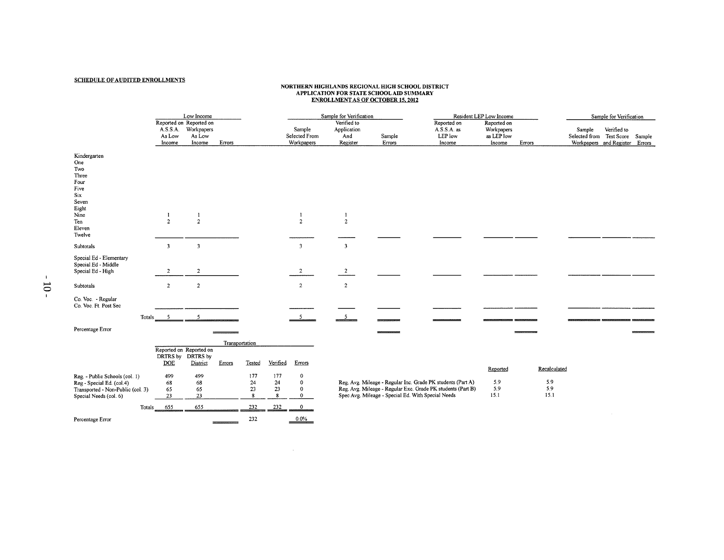#### SCHEDULE OF AUDITED ENROLLMENTS

# NORTHERN HIGHLANDS REGIONAL HIGH SCHOOL DISTRICTION FOR STATE SCHOOL APPLICATION FOR STATE SCHOOL AT EXAMPLE S<br>ENROLLMENT AS OF OCTOBER 15, 2012

|                                                                                                                                      |                              | Low Income                                                |                |                                                |                                         |                                                                         | Sample for Verification                       |                                                    |                                                                                                                            | Resident LEP Low Income                           |                                    |                                           | Sample for Verification                       |  |
|--------------------------------------------------------------------------------------------------------------------------------------|------------------------------|-----------------------------------------------------------|----------------|------------------------------------------------|-----------------------------------------|-------------------------------------------------------------------------|-----------------------------------------------|----------------------------------------------------|----------------------------------------------------------------------------------------------------------------------------|---------------------------------------------------|------------------------------------|-------------------------------------------|-----------------------------------------------|--|
|                                                                                                                                      | A.S.S.A.<br>As Low<br>Income | Reported on Reported on<br>Workpapers<br>As Low<br>Income | Errors         |                                                |                                         | Sample<br>Selected From<br>Workpapers                                   | Verified to<br>Application<br>And<br>Register | Sample<br>Errors                                   | Reported on<br>A.S.S.A. as<br>LEP low<br>Income                                                                            | Reported on<br>Workpapers<br>as LEP low<br>Income | Errors                             | Sample<br>Selected from Test Score Sample | Verified to<br>Workpapers and Register Errors |  |
| Kindergarten<br>One<br>Two<br>Three<br>Four<br>Five<br>Six<br>Seven<br>Eight<br>Nine<br>Ten<br>Eleven                                | -1<br>$\overline{2}$         | $\mathbf{l}$<br>$\overline{2}$                            |                |                                                |                                         | $\mathbf{I}$<br>$\overline{2}$                                          | 1<br>$\overline{2}$                           |                                                    |                                                                                                                            |                                                   |                                    |                                           |                                               |  |
| Twelve                                                                                                                               |                              |                                                           |                |                                                |                                         |                                                                         |                                               |                                                    |                                                                                                                            |                                                   |                                    |                                           |                                               |  |
| Subtotals                                                                                                                            | $\overline{\mathbf{3}}$      | $\overline{\mathbf{3}}$                                   |                |                                                |                                         | $\overline{\mathbf{3}}$                                                 | $\overline{\mathbf{3}}$                       |                                                    |                                                                                                                            |                                                   |                                    |                                           |                                               |  |
| Special Ed - Elementary<br>Special Ed - Middle<br>Special Ed - High                                                                  | $\overline{c}$               | $\overline{2}$                                            |                |                                                |                                         | $\overline{a}$                                                          | $\overline{2}$                                |                                                    |                                                                                                                            |                                                   |                                    |                                           |                                               |  |
| Subtotals                                                                                                                            | $\overline{2}$               | $\overline{2}$                                            |                |                                                |                                         | $\overline{2}$                                                          | $\overline{c}$                                |                                                    |                                                                                                                            |                                                   |                                    |                                           |                                               |  |
| Co. Voc. - Regular<br>Co. Voc. Ft. Post Sec                                                                                          |                              |                                                           |                |                                                |                                         |                                                                         |                                               |                                                    |                                                                                                                            |                                                   |                                    |                                           |                                               |  |
| Totals                                                                                                                               | - 5                          |                                                           |                |                                                |                                         | 5                                                                       |                                               |                                                    |                                                                                                                            |                                                   |                                    |                                           |                                               |  |
| Percentage Error                                                                                                                     |                              |                                                           |                |                                                |                                         |                                                                         |                                               |                                                    |                                                                                                                            |                                                   |                                    |                                           |                                               |  |
|                                                                                                                                      |                              |                                                           | Transportation |                                                |                                         |                                                                         |                                               |                                                    |                                                                                                                            |                                                   |                                    |                                           |                                               |  |
|                                                                                                                                      | DRTRS by DRTRS by            | Reported on Reported on                                   |                |                                                |                                         |                                                                         |                                               |                                                    |                                                                                                                            |                                                   |                                    |                                           |                                               |  |
|                                                                                                                                      | DOE                          | District                                                  | Errors         | Tested                                         | Verified                                | Errors                                                                  |                                               |                                                    |                                                                                                                            |                                                   |                                    |                                           |                                               |  |
| Reg. - Public Schools (col. 1)<br>Reg - Special Ed. (col.4)<br>Transported - Non-Public (col. 3)<br>Special Needs (col. 6)<br>Totals | 499<br>68<br>65<br>23<br>655 | 499<br>68<br>65<br>23<br>655                              |                | 177<br>24<br>$23\,$<br>$\boldsymbol{8}$<br>232 | 177<br>24<br>$23\,$<br>${\bf 8}$<br>232 | $\pmb{0}$<br>$\mathbf 0$<br>$\mathbf 0$<br>$\mathbf{0}$<br>$\mathbf{0}$ |                                               | Spec Avg. Mileage - Special Ed. With Special Needs | Reg. Avg. Mileage - Regular Inc. Grade PK students (Part A)<br>Reg. Avg. Mileage - Regular Exc. Grade PK students (Part B) | Reported<br>5.9<br>5.9<br>15.1                    | Recalculated<br>5.9<br>5.9<br>15.1 |                                           |                                               |  |
| Percentage Error                                                                                                                     |                              |                                                           |                | 232                                            |                                         | 0.0%                                                                    |                                               |                                                    |                                                                                                                            |                                                   |                                    |                                           |                                               |  |

 $\sim 10^7$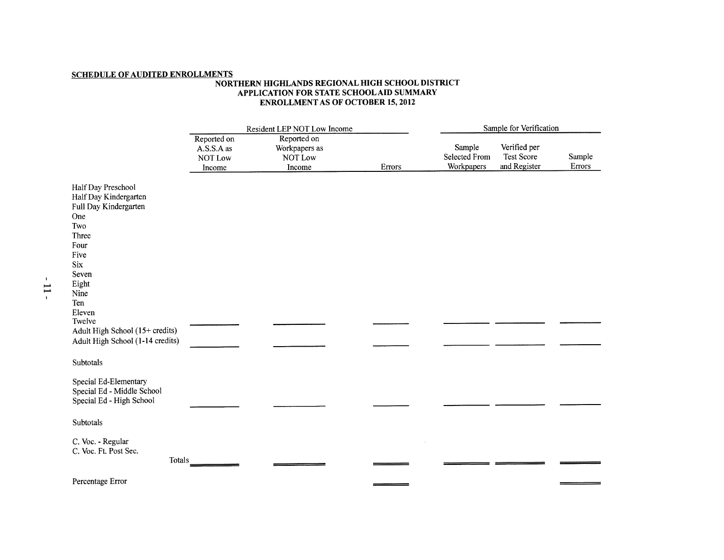## **SCHEDULE OF AUDITED ENROLLMENTS**

#### **NORTHERN HIGHLANDS REGIONAL HIGH SCHOOL DISTRICT APPLICATION FOR STATE** SCHOOL AID **SUMMARY ENROLLMENT AS OF OCTOBER 15, 2012**

|                                                                                                                                                                      |                                                | Resident LEP NOT Low Income                       | Sample for Verification |                                              |                                                   |                  |  |  |
|----------------------------------------------------------------------------------------------------------------------------------------------------------------------|------------------------------------------------|---------------------------------------------------|-------------------------|----------------------------------------------|---------------------------------------------------|------------------|--|--|
|                                                                                                                                                                      | Reported on<br>A.S.S.A as<br>NOT Low<br>Income | Reported on<br>Workpapers as<br>NOT Low<br>Income | Errors                  | Sample<br><b>Selected From</b><br>Workpapers | Verified per<br><b>Test Score</b><br>and Register | Sample<br>Errors |  |  |
| Half Day Preschool<br>Half Day Kindergarten<br>Full Day Kindergarten<br>One<br>Two<br>Three<br>Four<br>Five<br><b>Six</b><br>Seven<br>Eight<br>Nine<br>Ten<br>Eleven |                                                |                                                   |                         |                                              |                                                   |                  |  |  |
| Twelve<br>Adult High School (15+ credits)<br>Adult High School (1-14 credits)                                                                                        |                                                |                                                   |                         |                                              |                                                   |                  |  |  |
| Subtotals                                                                                                                                                            |                                                |                                                   |                         |                                              |                                                   |                  |  |  |
| Special Ed-Elementary<br>Special Ed - Middle School<br>Special Ed - High School                                                                                      |                                                |                                                   |                         |                                              |                                                   |                  |  |  |
| Subtotals                                                                                                                                                            |                                                |                                                   |                         |                                              |                                                   |                  |  |  |
| C. Voc. - Regular<br>C. Voc. Ft. Post Sec.<br>Totals                                                                                                                 |                                                |                                                   |                         |                                              |                                                   |                  |  |  |
| Percentage Error                                                                                                                                                     |                                                |                                                   |                         |                                              |                                                   |                  |  |  |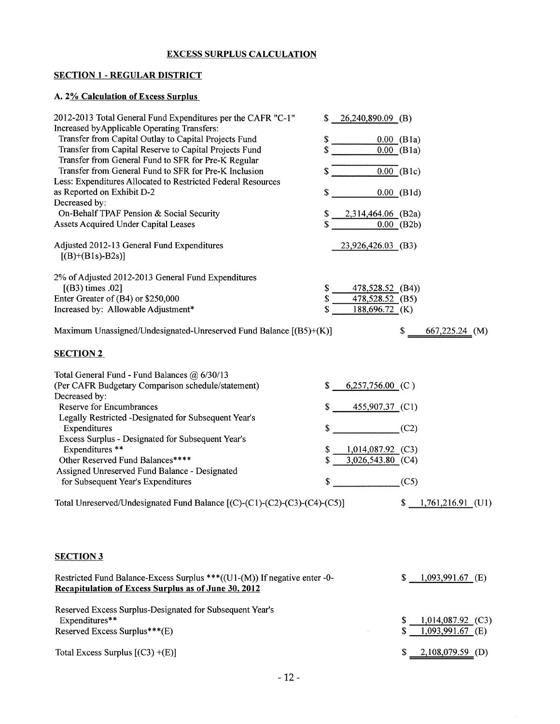## EXCESS SURPLUS CALCULATION

## SECTION 1 - REGULAR DISTRICT

## A. 2% Calculation of Excess Surplus

| 2012-2013 Total General Fund Expenditures per the CAFR "C-1"<br>Increased by Applicable Operating Transfers:<br>Transfer from Capital Outlay to Capital Projects Fund | $$26,240,890.09$ (B)<br>\$                                        |  |
|-----------------------------------------------------------------------------------------------------------------------------------------------------------------------|-------------------------------------------------------------------|--|
| Transfer from Capital Reserve to Capital Projects Fund<br>Transfer from General Fund to SFR for Pre-K Regular                                                         | $0.00$ (B1a)<br>\$<br>$0.00$ (B1a)                                |  |
| Transfer from General Fund to SFR for Pre-K Inclusion<br>Less: Expenditures Allocated to Restricted Federal Resources                                                 | $0.00$ (B1c)                                                      |  |
| as Reported on Exhibit D-2<br>Decreased by:<br>On-Behalf TPAF Pension & Social Security                                                                               | $0.00$ (B1d)<br>\$<br>2,314,464.06 (B2a)<br>S.                    |  |
| Assets Acquired Under Capital Leases                                                                                                                                  | $0.00$ (B2b)                                                      |  |
| Adjusted 2012-13 General Fund Expenditures<br>$[(B)+(B1s)-B2s)]$                                                                                                      | 23,926,426.03 (B3)                                                |  |
| 2% of Adjusted 2012-2013 General Fund Expenditures<br>[(B3) times .02]<br>Enter Greater of (B4) or \$250,000<br>Increased by: Allowable Adjustment*                   | \$<br>478,528.52 (B4))<br>478,528.52 (B5)<br>\$<br>188,696.72 (K) |  |
| Maximum Unassigned/Undesignated-Unreserved Fund Balance $[(B5)+(K)]$                                                                                                  | \$<br>$667,225.24$ (M)                                            |  |
| <b>SECTION 2</b>                                                                                                                                                      |                                                                   |  |
| Total General Fund - Fund Balances @ 6/30/13<br>(Per CAFR Budgetary Comparison schedule/statement)<br>Decreased by:<br>Reserve for Encumbrances                       | $6,257,756.00$ (C)<br>\$<br>455,907.37 (C1)                       |  |
| Legally Restricted -Designated for Subsequent Year's<br>Expenditures<br>Excess Surplus - Designated for Subsequent Year's<br>Expenditures **                          | (C2)<br>\$<br>$1,014,087.92$ (C3)<br>Ъ                            |  |
| Other Reserved Fund Balances****<br>Assigned Unreserved Fund Balance - Designated<br>for Subsequent Year's Expenditures                                               | 3,026,543.80 (C4)<br>\$<br>(C5)                                   |  |
| Total Unreserved/Undesignated Fund Balance [(C)-(C1)-(C2)-(C3)-(C4)-(C5)]                                                                                             | $$1,761,216.91$ (U1)                                              |  |
| <b>SECTION 3</b>                                                                                                                                                      |                                                                   |  |
| Restricted Fund Balance-Excess Surplus ***((U1-(M)) If negative enter -0-<br>Recapitulation of Excess Surplus as of June 30, 2012                                     | \$<br>$1,093,991.67$ (E)                                          |  |
| Reserved Excess Surplus-Designated for Subsequent Year's<br>Expenditures**<br>Reserved Excess Surplus***(E)                                                           | 1,014,087.92 (C3)<br>S<br>$1,093,991.67$ (E)<br>\$                |  |
| Total Excess Surplus $[(C3) + (E)]$                                                                                                                                   | $2,108,079.59$ (D)<br>S.                                          |  |